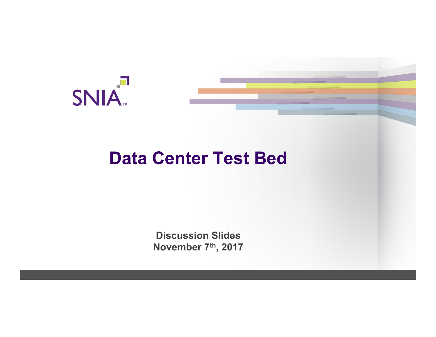



# **Data Center Test Bed**

**Discussion Slides November 7th, 2017**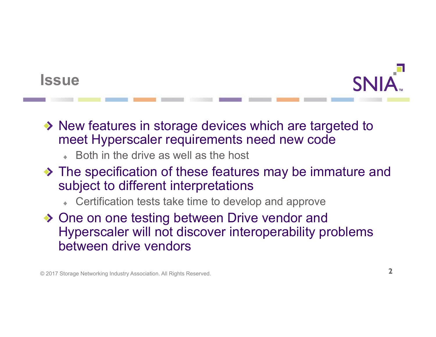### **Issue**



- ◆ New features in storage devices which are targeted to meet Hyperscaler requirements need new code
	- Both in the drive as well as the host
- The specification of these features may be immature and subject to different interpretations
	- Certification tests take time to develop and approve
- ◆ One on one testing between Drive vendor and Hyperscaler will not discover interoperability problems between drive vendors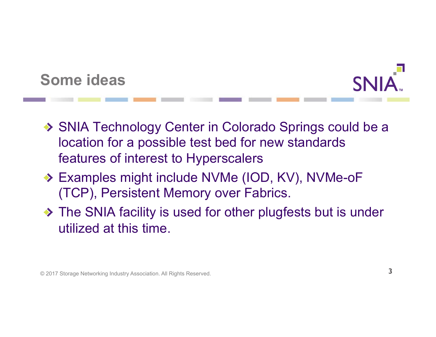



- ◆ SNIA Technology Center in Colorado Springs could be a location for a possible test bed for new standards features of interest to Hyperscalers
- ◆ Examples might include NVMe (IOD, KV), NVMe-oF (TCP), Persistent Memory over Fabrics.
- ◆ The SNIA facility is used for other plugfests but is under utilized at this time.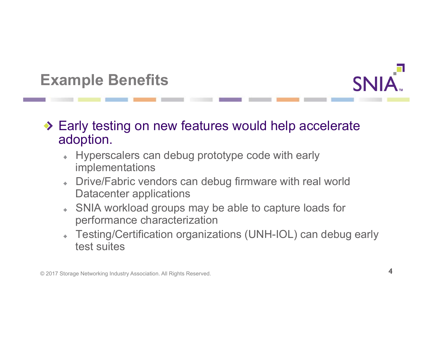## **Example Benefits**



#### ◆ Early testing on new features would help accelerate adoption.

- Hyperscalers can debug prototype code with early implementations
- Drive/Fabric vendors can debug firmware with real world Datacenter applications
- SNIA workload groups may be able to capture loads for performance characterization
- Testing/Certification organizations (UNH-IOL) can debug early test suites

© 2017 Storage Networking Industry Association. All Rights Reserved.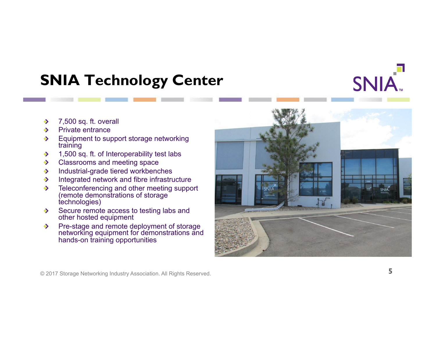## **SNIA Technology Center**



- Private entrance  $\rightarrow$
- Equipment to support storage networking  $\rightarrow$ training
- 1,500 sq. ft. of Interoperability test labs  $\rightarrow$
- Classrooms and meeting space  $\rightarrow$
- Industrial-grade tiered workbenches  $\rightarrow$
- Integrated network and fibre infrastructure  $\rightarrow$
- Teleconferencing and other meeting support  $\rightarrow$ (remote demonstrations of storage technologies)
- Secure remote access to testing labs and  $\rightarrow$ other hosted equipment
- Pre-stage and remote deployment of storage  $\rightarrow$ networking equipment for demonstrations and hands-on training opportunities



SNIA.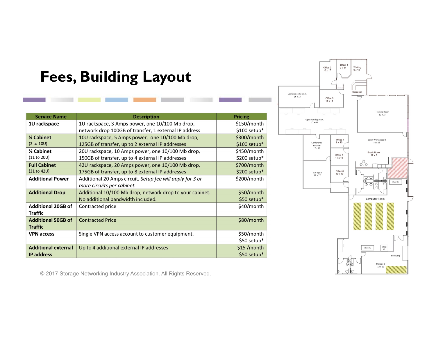### **Fees, Building Layout**

| <b>Service Name</b>        | <b>Description</b>                                        | <b>Pricing</b> |
|----------------------------|-----------------------------------------------------------|----------------|
|                            |                                                           |                |
| 1U rackspace               | 1U rackspace, 3 Amps power, one 10/100 Mb drop,           | \$150/month    |
|                            | network drop 100GB of transfer, 1 external IP address     | \$100 setup*   |
| <b>% Cabinet</b>           | 10U rackspace, 5 Amps power, one 10/100 Mb drop,          | \$300/month    |
| (2 to 10U)                 | 125GB of transfer, up to 2 external IP addresses          | $$100$ setup*  |
| 1/ <sub>2</sub> Cabinet    | 20U rackspace, 10 Amps power, one 10/100 Mb drop,         | \$450/month    |
| (11 to 20U)                | 150GB of transfer, up to 4 external IP addresses          | $$200$ setup*  |
| <b>Full Cabinet</b>        | 42U rackspace, 20 Amps power, one 10/100 Mb drop,         | \$700/month    |
| (21 to 42U)                | 175GB of transfer, up to 8 external IP addresses          | \$200 setup*   |
| <b>Additional Power</b>    | Additional 20 Amps circuit. Setup fee will apply for 3 or | \$200/month    |
|                            | more circuits per cabinet.                                |                |
| <b>Additional Drop</b>     | Additional 10/100 Mb drop, network drop to your cabinet.  | \$50/month     |
|                            | No additional bandwidth included.                         | \$50 setup*    |
| <b>Additional 20GB of</b>  | Contracted price                                          | \$40/month     |
| <b>Traffic</b>             |                                                           |                |
| <b>Additional 50GB of</b>  | <b>Contracted Price</b>                                   | \$80/month     |
| <b>Traffic</b>             |                                                           |                |
| <b>VPN</b> access          | Single VPN access account to customer equipment.          | \$50/month     |
|                            |                                                           | \$50 setup*    |
| <b>Additional external</b> | Up to 4 additional external IP addresses                  | \$15 / month   |
| <b>IP address</b>          |                                                           | $$50$ setup*   |